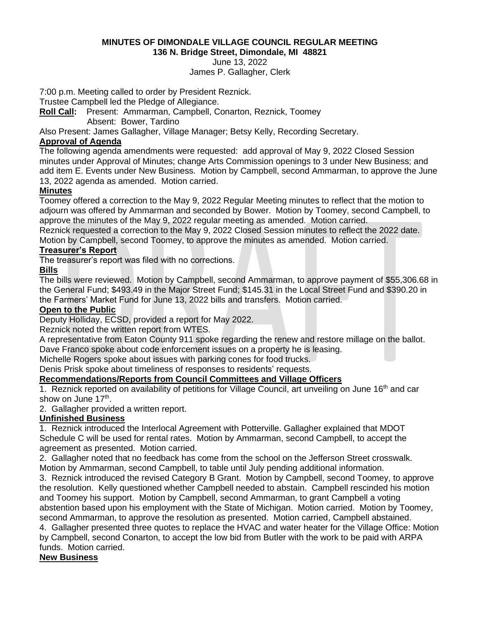#### **MINUTES OF DIMONDALE VILLAGE COUNCIL REGULAR MEETING 136 N. Bridge Street, Dimondale, MI 48821**

# June 13, 2022

James P. Gallagher, Clerk

7:00 p.m. Meeting called to order by President Reznick.

Trustee Campbell led the Pledge of Allegiance.

**Roll Call:** Present: Ammarman, Campbell, Conarton, Reznick, Toomey

Absent: Bower, Tardino

Also Present: James Gallagher, Village Manager; Betsy Kelly, Recording Secretary.

## **Approval of Agenda**

The following agenda amendments were requested: add approval of May 9, 2022 Closed Session minutes under Approval of Minutes; change Arts Commission openings to 3 under New Business; and add item E. Events under New Business. Motion by Campbell, second Ammarman, to approve the June 13, 2022 agenda as amended. Motion carried.

## **Minutes**

Toomey offered a correction to the May 9, 2022 Regular Meeting minutes to reflect that the motion to adjourn was offered by Ammarman and seconded by Bower. Motion by Toomey, second Campbell, to approve the minutes of the May 9, 2022 regular meeting as amended. Motion carried.

Reznick requested a correction to the May 9, 2022 Closed Session minutes to reflect the 2022 date. Motion by Campbell, second Toomey, to approve the minutes as amended. Motion carried.

## **Treasurer's Report**

The treasurer's report was filed with no corrections.

# **Bills**

The bills were reviewed. Motion by Campbell, second Ammarman, to approve payment of \$55,306.68 in the General Fund; \$493.49 in the Major Street Fund; \$145.31 in the Local Street Fund and \$390.20 in the Farmers' Market Fund for June 13, 2022 bills and transfers. Motion carried.

#### **Open to the Public**

Deputy Holliday, ECSD, provided a report for May 2022.

Reznick noted the written report from WTES.

A representative from Eaton County 911 spoke regarding the renew and restore millage on the ballot. Dave Franco spoke about code enforcement issues on a property he is leasing.

Michelle Rogers spoke about issues with parking cones for food trucks.

Denis Prisk spoke about timeliness of responses to residents' requests.

#### **Recommendations/Reports from Council Committees and Village Officers**

1. Reznick reported on availability of petitions for Village Council, art unveiling on June 16<sup>th</sup> and car show on June 17<sup>th</sup>.

2. Gallagher provided a written report.

#### **Unfinished Business**

1. Reznick introduced the Interlocal Agreement with Potterville. Gallagher explained that MDOT Schedule C will be used for rental rates. Motion by Ammarman, second Campbell, to accept the agreement as presented. Motion carried.

2. Gallagher noted that no feedback has come from the school on the Jefferson Street crosswalk. Motion by Ammarman, second Campbell, to table until July pending additional information.

3. Reznick introduced the revised Category B Grant. Motion by Campbell, second Toomey, to approve the resolution. Kelly questioned whether Campbell needed to abstain. Campbell rescinded his motion and Toomey his support. Motion by Campbell, second Ammarman, to grant Campbell a voting abstention based upon his employment with the State of Michigan. Motion carried. Motion by Toomey, second Ammarman, to approve the resolution as presented. Motion carried, Campbell abstained.

4. Gallagher presented three quotes to replace the HVAC and water heater for the Village Office: Motion by Campbell, second Conarton, to accept the low bid from Butler with the work to be paid with ARPA funds. Motion carried.

#### **New Business**